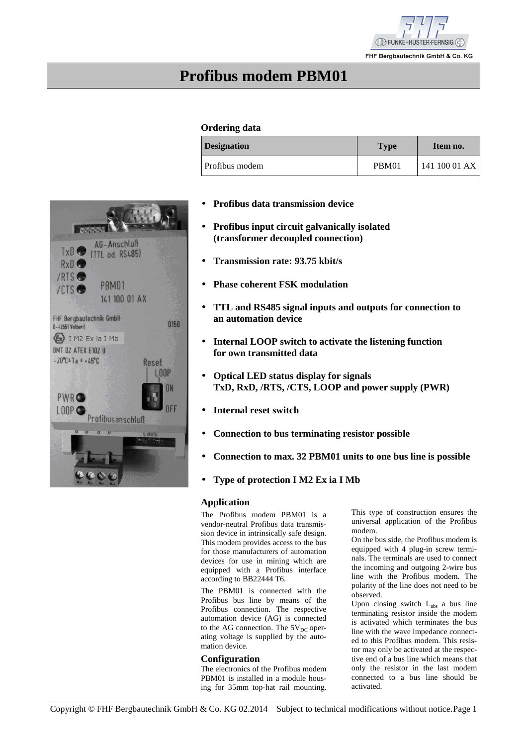

## **Profibus modem PBM01**

### **Ordering data**

| <b>Designation</b> | <b>Type</b> | Item no.      |
|--------------------|-------------|---------------|
| Profibus modem     | PBM01       | 141 100 01 AX |

- **Profibus data transmission device**
- **Profibus input circuit galvanically isolated (transformer decoupled connection)**
- **Transmission rate: 93.75 kbit/s**
- **Phase coherent FSK modulation**
- **TTL and RS485 signal inputs and outputs for connection to an automation device**
- **Internal LOOP switch to activate the listening function for own transmitted data**
- **Optical LED status display for signals TxD, RxD, /RTS, /CTS, LOOP and power supply (PWR)**
- **Internal reset switch**
- **Connection to bus terminating resistor possible**
- **Connection to max. 32 PBM01 units to one bus line is possible**
- **Type of protection I M2 Ex ia I Mb**

### **Application**

The Profibus modem PBM01 is a vendor-neutral Profibus data transmission device in intrinsically safe design. This modem provides access to the bus for those manufacturers of automation devices for use in mining which are equipped with a Profibus interface according to BB22444 T6.

The PBM01 is connected with the Profibus bus line by means of the Profibus connection. The respective automation device (AG) is connected to the AG connection. The  $5V_{DC}$  operating voltage is supplied by the automation device.

### **Configuration**

The electronics of the Profibus modem PBM01 is installed in a module housing for 35mm top-hat rail mounting.

This type of construction ensures the universal application of the Profibus modem.

On the bus side, the Profibus modem is equipped with 4 plug-in screw terminals. The terminals are used to connect the incoming and outgoing 2-wire bus line with the Profibus modem. The polarity of the line does not need to be observed.

Upon closing switch  $L_{abs}$  a bus line terminating resistor inside the modem is activated which terminates the bus line with the wave impedance connected to this Profibus modem. This resistor may only be activated at the respective end of a bus line which means that only the resistor in the last modem connected to a bus line should be activated.

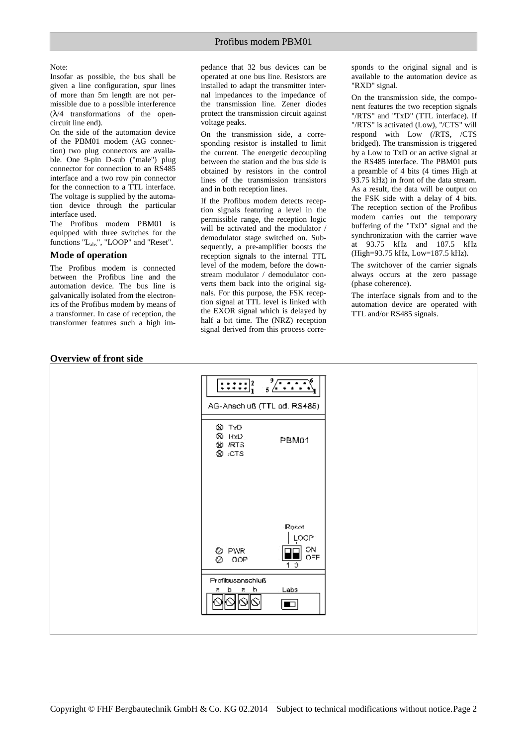#### Note:

Insofar as possible, the bus shall be given a line configuration, spur lines of more than 5m length are not permissible due to a possible interference  $(\lambda/4$  transformations of the opencircuit line end).

On the side of the automation device of the PBM01 modem (AG connection) two plug connectors are available. One 9-pin D-sub ("male") plug connector for connection to an RS485 interface and a two row pin connector for the connection to a TTL interface. The voltage is supplied by the automation device through the particular interface used.

The Profibus modem PBM01 is equipped with three switches for the functions "Labs", "LOOP" and "Reset".

### **Mode of operation**

The Profibus modem is connected between the Profibus line and the automation device. The bus line is galvanically isolated from the electronics of the Profibus modem by means of a transformer. In case of reception, the transformer features such a high impedance that 32 bus devices can be operated at one bus line. Resistors are installed to adapt the transmitter internal impedances to the impedance of the transmission line. Zener diodes protect the transmission circuit against voltage peaks.

On the transmission side, a corresponding resistor is installed to limit the current. The energetic decoupling between the station and the bus side is obtained by resistors in the control lines of the transmission transistors and in both reception lines.

If the Profibus modem detects reception signals featuring a level in the permissible range, the reception logic will be activated and the modulator / demodulator stage switched on. Subsequently, a pre-amplifier boosts the reception signals to the internal TTL level of the modem, before the downstream modulator / demodulator converts them back into the original signals. For this purpose, the FSK reception signal at TTL level is linked with the EXOR signal which is delayed by half a bit time. The (NRZ) reception signal derived from this process corresponds to the original signal and is available to the automation device as "RXD" signal.

On the transmission side, the component features the two reception signals "/RTS" and "TxD" (TTL interface). If "/RTS" is activated (Low), "/CTS" will respond with Low (/RTS, /CTS bridged). The transmission is triggered by a Low to TxD or an active signal at the RS485 interface. The PBM01 puts a preamble of 4 bits (4 times High at 93.75 kHz) in front of the data stream. As a result, the data will be output on the FSK side with a delay of 4 bits. The reception section of the Profibus modem carries out the temporary buffering of the "TxD" signal and the synchronization with the carrier wave at 93.75 kHz and 187.5 kHz (High=93.75 kHz, Low=187.5 kHz).

The switchover of the carrier signals always occurs at the zero passage (phase coherence).

The interface signals from and to the automation device are operated with TTL and/or RS485 signals.



### **Overview of front side**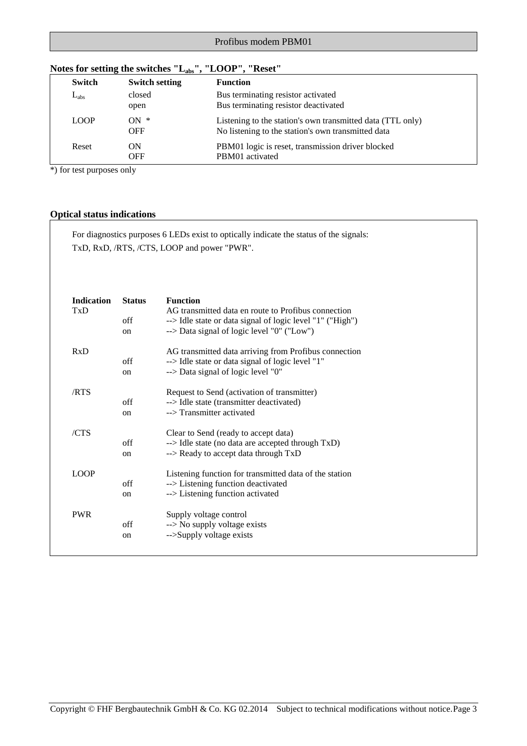| 21 I.N        |                       |                                                                                                                  |
|---------------|-----------------------|------------------------------------------------------------------------------------------------------------------|
| <b>Switch</b> | <b>Switch setting</b> | <b>Function</b>                                                                                                  |
| $L_{\rm abs}$ | closed<br>open        | Bus terminating resistor activated<br>Bus terminating resistor deactivated                                       |
| <b>LOOP</b>   | $ON *$<br><b>OFF</b>  | Listening to the station's own transmitted data (TTL only)<br>No listening to the station's own transmitted data |
| Reset         | ON<br><b>OFF</b>      | PBM01 logic is reset, transmission driver blocked<br>PBM01 activated                                             |

### **Notes for setting the switches "Labs", "LOOP", "Reset"**

\*) for test purposes only

### **Optical status indications**

For diagnostics purposes 6 LEDs exist to optically indicate the status of the signals: TxD, RxD, /RTS, /CTS, LOOP and power "PWR".

| <b>Indication</b><br>TxD | <b>Status</b><br>off<br><sub>on</sub> | <b>Function</b><br>AG transmitted data en route to Profibus connection<br>--> Idle state or data signal of logic level "1" ("High")<br>--> Data signal of logic level "0" ("Low") |
|--------------------------|---------------------------------------|-----------------------------------------------------------------------------------------------------------------------------------------------------------------------------------|
| RxD                      | off<br>on                             | AG transmitted data arriving from Profibus connection<br>--> Idle state or data signal of logic level "1"<br>--> Data signal of logic level "0"                                   |
| /RTS                     | off<br><sub>on</sub>                  | Request to Send (activation of transmitter)<br>--> Idle state (transmitter deactivated)<br>--> Transmitter activated                                                              |
| /CTS                     | off<br>on                             | Clear to Send (ready to accept data)<br>--> Idle state (no data are accepted through TxD)<br>--> Ready to accept data through TxD                                                 |
| <b>LOOP</b>              | off<br>on                             | Listening function for transmitted data of the station<br>--> Listening function deactivated<br>--> Listening function activated                                                  |
| <b>PWR</b>               | off<br>on                             | Supply voltage control<br>$\rightarrow$ No supply voltage exists<br>-->Supply voltage exists                                                                                      |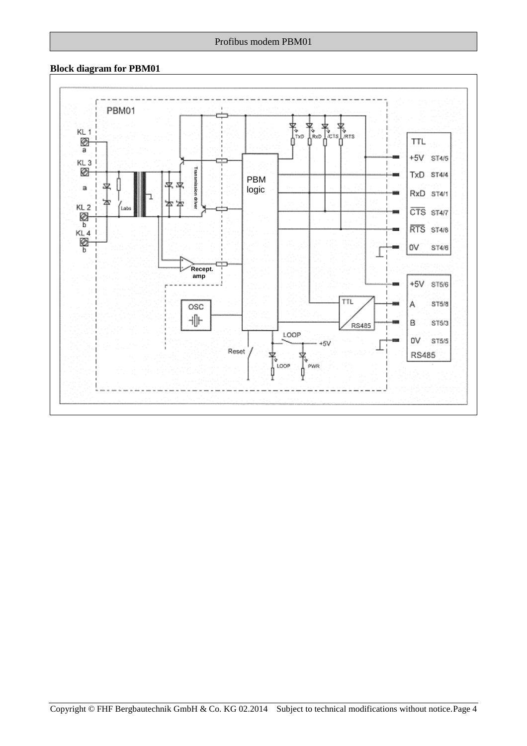### **Block diagram for PBM01**

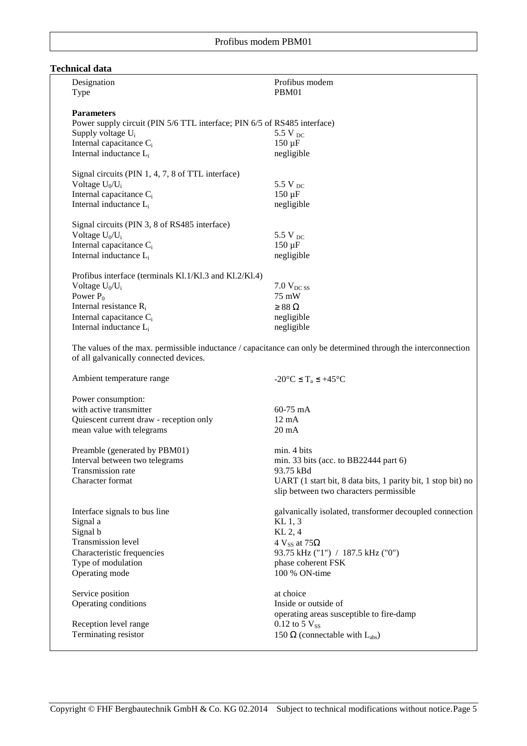### **Technical data**

| Designation<br>Type                                                                           | Profibus modem<br>PBM01                                                                                        |
|-----------------------------------------------------------------------------------------------|----------------------------------------------------------------------------------------------------------------|
|                                                                                               |                                                                                                                |
| <b>Parameters</b><br>Power supply circuit (PIN 5/6 TTL interface; PIN 6/5 of RS485 interface) |                                                                                                                |
| Supply voltage U <sub>i</sub>                                                                 | 5.5 V $_{DC}$                                                                                                  |
| Internal capacitance C <sub>i</sub>                                                           | $150 \mu F$                                                                                                    |
| Internal inductance L <sub>i</sub>                                                            | negligible                                                                                                     |
| Signal circuits (PIN 1, 4, 7, 8 of TTL interface)                                             |                                                                                                                |
| Voltage $U_0/U_i$                                                                             | 5.5 V $_{DC}$                                                                                                  |
| Internal capacitance C <sub>i</sub>                                                           | $150 \mu F$                                                                                                    |
| Internal inductance L <sub>i</sub>                                                            | negligible                                                                                                     |
| Signal circuits (PIN 3, 8 of RS485 interface)                                                 |                                                                                                                |
| Voltage $U_0/U_i$                                                                             | 5.5 V $_{DC}$                                                                                                  |
| Internal capacitance C <sub>i</sub>                                                           | $150 \mu F$                                                                                                    |
| Internal inductance L <sub>i</sub>                                                            | negligible                                                                                                     |
| Profibus interface (terminals Kl.1/Kl.3 and Kl.2/Kl.4)                                        |                                                                                                                |
| Voltage $U_0/U_i$                                                                             | $7.0 V_{DCSS}$                                                                                                 |
| Power $P_0$                                                                                   | 75 mW                                                                                                          |
| Internal resistance R <sub>i</sub>                                                            | $\geq 88$ $\Omega$                                                                                             |
| Internal capacitance C <sub>i</sub>                                                           | negligible                                                                                                     |
| Internal inductance L <sub>i</sub>                                                            | negligible                                                                                                     |
| of all galvanically connected devices.                                                        | The values of the max. permissible inductance / capacitance can only be determined through the interconnection |
| Ambient temperature range                                                                     | $-20^{\circ}$ C $\leq T_a \leq +45^{\circ}$ C                                                                  |
| Power consumption:                                                                            |                                                                                                                |
| with active transmitter                                                                       | 60-75 mA                                                                                                       |
| Quiescent current draw - reception only                                                       | $12 \text{ mA}$                                                                                                |
| mean value with telegrams                                                                     | $20 \text{ mA}$                                                                                                |
| Preamble (generated by PBM01)                                                                 | min. 4 bits                                                                                                    |
| Interval between two telegrams                                                                | min. 33 bits (acc. to BB22444 part $6$ )                                                                       |
| Transmission rate                                                                             | 93.75 kBd                                                                                                      |
| Character format                                                                              | UART (1 start bit, 8 data bits, 1 parity bit, 1 stop bit) no<br>slip between two characters permissible        |
| Interface signals to bus line                                                                 | galvanically isolated, transformer decoupled connection                                                        |
| Signal a                                                                                      | $KL$ 1, 3                                                                                                      |
| Signal b                                                                                      | KL 2, 4                                                                                                        |
| Transmission level                                                                            | 4 $V_{SS}$ at 75 $\Omega$                                                                                      |
| Characteristic frequencies                                                                    | 93.75 kHz ("1") / 187.5 kHz ("0")                                                                              |
| Type of modulation                                                                            | phase coherent FSK                                                                                             |
| Operating mode                                                                                | 100 % ON-time                                                                                                  |
| Service position                                                                              | at choice                                                                                                      |
| Operating conditions                                                                          | Inside or outside of                                                                                           |
|                                                                                               | operating areas susceptible to fire-damp                                                                       |
| Reception level range                                                                         | 0.12 to 5 $V_{SS}$                                                                                             |
| Terminating resistor                                                                          | 150 $\Omega$ (connectable with L <sub>abs</sub> )                                                              |
|                                                                                               |                                                                                                                |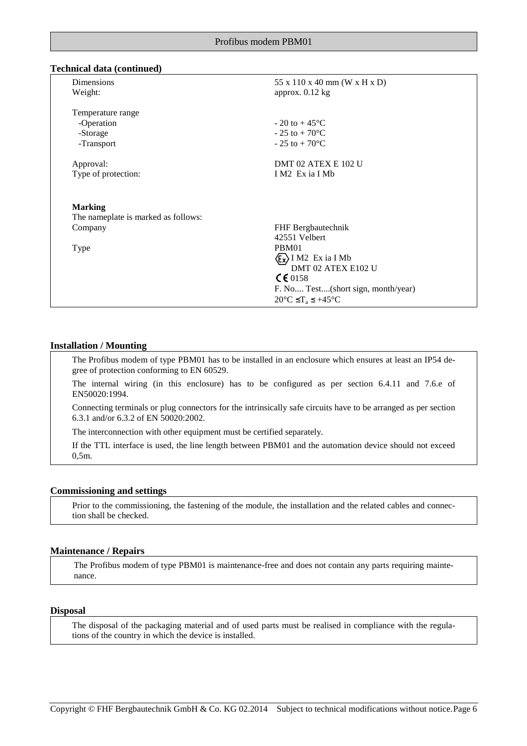### **Technical data (continued)**

| Dimensions<br>Weight:                                     | 55 x 110 x 40 mm (W x H x D)<br>approx. $0.12$ kg                                                                                                                                       |
|-----------------------------------------------------------|-----------------------------------------------------------------------------------------------------------------------------------------------------------------------------------------|
| Temperature range<br>-Operation<br>-Storage<br>-Transport | $-20$ to $+45^{\circ}$ C<br>$-25$ to $+70$ <sup>o</sup> C<br>$-25$ to $+70^{\circ}$ C                                                                                                   |
| Approval:<br>Type of protection:                          | DMT 02 ATEX E 102 U<br>I M2 Ex ia I Mb                                                                                                                                                  |
| <b>Marking</b>                                            |                                                                                                                                                                                         |
| The nameplate is marked as follows:                       |                                                                                                                                                                                         |
| Company                                                   | FHF Bergbautechnik<br>42551 Velbert                                                                                                                                                     |
| <b>Type</b>                                               | PBM01<br>$\langle \xi_{\mathbf{x}} \rangle$ I M2 Ex ia I Mb<br>DMT 02 ATEX E102 U<br>$C \in 0158$<br>F. No Test(short sign, month/year)<br>$20^{\circ}$ C $\leq T_a \leq +45^{\circ}$ C |

### **Installation / Mounting**

The Profibus modem of type PBM01 has to be installed in an enclosure which ensures at least an IP54 degree of protection conforming to EN 60529.

The internal wiring (in this enclosure) has to be configured as per section 6.4.11 and 7.6.e of EN50020:1994.

Connecting terminals or plug connectors for the intrinsically safe circuits have to be arranged as per section 6.3.1 and/or 6.3.2 of EN 50020:2002.

The interconnection with other equipment must be certified separately.

If the TTL interface is used, the line length between PBM01 and the automation device should not exceed 0,5m.

### **Commissioning and settings**

Prior to the commissioning, the fastening of the module, the installation and the related cables and connection shall be checked.

### **Maintenance / Repairs**

The Profibus modem of type PBM01 is maintenance-free and does not contain any parts requiring maintenance.

### **Disposal**

The disposal of the packaging material and of used parts must be realised in compliance with the regulations of the country in which the device is installed.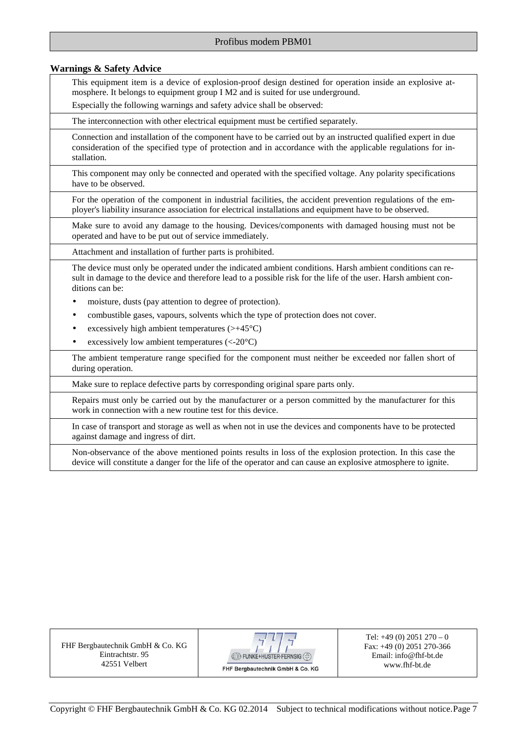### **Warnings & Safety Advice**

This equipment item is a device of explosion-proof design destined for operation inside an explosive atmosphere. It belongs to equipment group I M2 and is suited for use underground.

Especially the following warnings and safety advice shall be observed:

The interconnection with other electrical equipment must be certified separately.

Connection and installation of the component have to be carried out by an instructed qualified expert in due consideration of the specified type of protection and in accordance with the applicable regulations for installation.

This component may only be connected and operated with the specified voltage. Any polarity specifications have to be observed.

For the operation of the component in industrial facilities, the accident prevention regulations of the employer's liability insurance association for electrical installations and equipment have to be observed.

Make sure to avoid any damage to the housing. Devices/components with damaged housing must not be operated and have to be put out of service immediately.

Attachment and installation of further parts is prohibited.

The device must only be operated under the indicated ambient conditions. Harsh ambient conditions can result in damage to the device and therefore lead to a possible risk for the life of the user. Harsh ambient conditions can be:

- moisture, dusts (pay attention to degree of protection).
- combustible gases, vapours, solvents which the type of protection does not cover.
- excessively high ambient temperatures  $(\rightarrow +45^{\circ}C)$
- excessively low ambient temperatures  $(<20^{\circ}C)$

The ambient temperature range specified for the component must neither be exceeded nor fallen short of during operation.

Make sure to replace defective parts by corresponding original spare parts only.

Repairs must only be carried out by the manufacturer or a person committed by the manufacturer for this work in connection with a new routine test for this device.

In case of transport and storage as well as when not in use the devices and components have to be protected against damage and ingress of dirt.

Non-observance of the above mentioned points results in loss of the explosion protection. In this case the device will constitute a danger for the life of the operator and can cause an explosive atmosphere to ignite.

FHF Bergbautechnik GmbH & Co. KG Eintrachtstr. 95 42551 Velbert



Tel:  $+49(0)$  2051 270 – 0 Fax: +49 (0) 2051 270-366 Email: info@fhf-bt.de www.fhf-bt.de